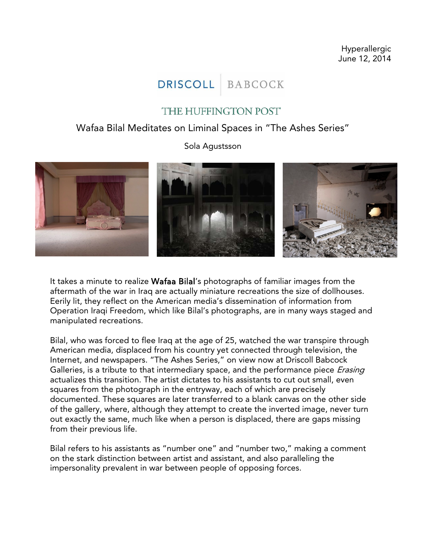Hyperallergic June 12, 2014

## **DRISCOLL BABCOCK**

## THE HUFFINGTON POST

## Wafaa Bilal Meditates on Liminal Spaces in "The Ashes Series"

Sola Agustsson



It takes a minute to realize Wafaa Bilal's photographs of familiar images from the aftermath of the war in Iraq are actually miniature recreations the size of dollhouses. Eerily lit, they reflect on the American media's dissemination of information from Operation Iraqi Freedom, which like Bilal's photographs, are in many ways staged and manipulated recreations.

Bilal, who was forced to flee Iraq at the age of 25, watched the war transpire through American media, displaced from his country yet connected through television, the Internet, and newspapers. "The Ashes Series," on view now at Driscoll Babcock Galleries, is a tribute to that intermediary space, and the performance piece *Erasing* actualizes this transition. The artist dictates to his assistants to cut out small, even squares from the photograph in the entryway, each of which are precisely documented. These squares are later transferred to a blank canvas on the other side of the gallery, where, although they attempt to create the inverted image, never turn out exactly the same, much like when a person is displaced, there are gaps missing from their previous life.

Bilal refers to his assistants as "number one" and "number two," making a comment on the stark distinction between artist and assistant, and also paralleling the impersonality prevalent in war between people of opposing forces.